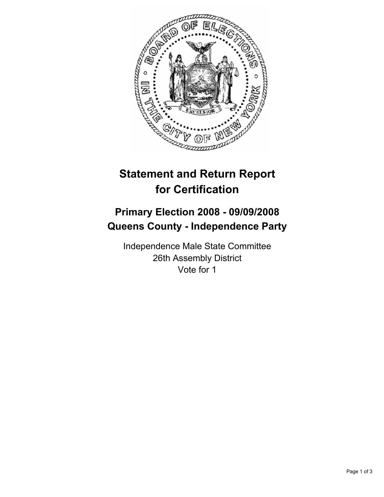

## **Statement and Return Report for Certification**

## **Primary Election 2008 - 09/09/2008 Queens County - Independence Party**

Independence Male State Committee 26th Assembly District Vote for 1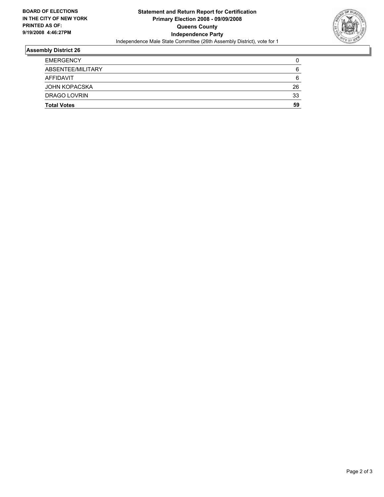

## **Assembly District 26**

| <b>EMERGENCY</b><br>ABSENTEE/MILITARY | 6  |
|---------------------------------------|----|
| AFFIDAVIT                             | 6  |
| JOHN KOPACSKA                         | 26 |
| DRAGO LOVRIN                          | 33 |
| <b>Total Votes</b>                    | 59 |